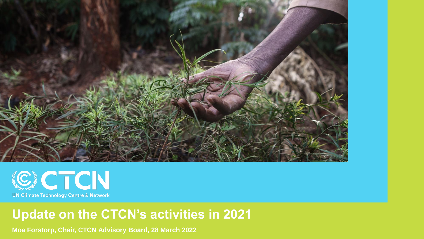



## **Update on the CTCN's activities in 2021**

**Moa Forstorp, Chair, CTCN Advisory Board, 28 March 2022**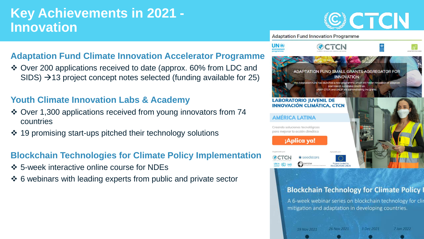## **Key Achievements in 2021 - Innovation**

# SI CTCN

#### **Adaptation Fund Innovation Programme**

#### **Adaptation Fund Climate Innovation Accelerator Programme**

❖ Over 200 applications received to date (approx. 60% from LDC and  $SIDS$ )  $\rightarrow$  13 project concept notes selected (funding available for 25)

#### **Youth Climate Innovation Labs & Academy**

- ❖ Over 1,300 applications received from young innovators from 74 countries
- ❖ 19 promising start-ups pitched their technology solutions

#### **Blockchain Technologies for Climate Policy Implementation**

- ❖ 5-week interactive online course for NDEs
- ❖ 6 webinars with leading experts from public and private sector



#### **Blockchain Technology for Climate Policy I**

A 6-week webinar series on blockchain technology for clip mitigation and adaptation in developing countries.

26 Nov 2021 19 Nov 2021

3 Dec 2021

7 Jan 2022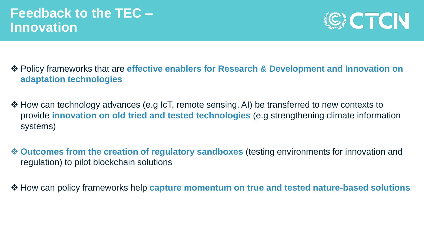

- ❖ Policy frameworks that are **effective enablers for Research & Development and Innovation on adaptation technologies**
- ❖ How can technology advances (e.g IcT, remote sensing, AI) be transferred to new contexts to provide **innovation on old tried and tested technologies** (e.g strengthening climate information systems)
- ❖ **Outcomes from the creation of regulatory sandboxes** (testing environments for innovation and regulation) to pilot blockchain solutions
- ❖ How can policy frameworks help **capture momentum on true and tested nature-based solutions**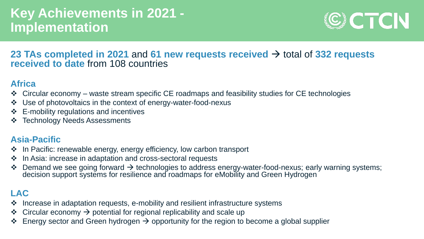## **Key Achievements in 2021 - Implementation**



#### **23 TAs completed in 2021** and **61 new requests received** → total of **332 requests received to date** from 108 countries

#### **Africa**

- ❖ Circular economy waste stream specific CE roadmaps and feasibility studies for CE technologies
- ❖ Use of photovoltaics in the context of energy-water-food-nexus
- ❖ E-mobility regulations and incentives
- ❖ Technology Needs Assessments

#### **Asia-Pacific**

- ❖ In Pacific: renewable energy, energy efficiency, low carbon transport
- ❖ In Asia: increase in adaptation and cross-sectoral requests
- ❖ Demand we see going forward → technologies to address energy-water-food-nexus; early warning systems; decision support systems for resilience and roadmaps for eMobility and Green Hydrogen

#### **LAC**

- ❖ Increase in adaptation requests, e-mobility and resilient infrastructure systems
- ❖ Circular economy → potential for regional replicability and scale up
- $\div$  Energy sector and Green hydrogen  $\rightarrow$  opportunity for the region to become a global supplier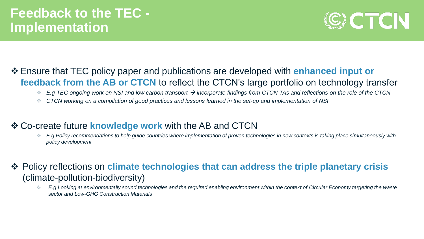

#### ❖ Ensure that TEC policy paper and publications are developed with **enhanced input or feedback from the AB or CTCN** to reflect the CTCN's large portfolio on technology transfer

- ❖ *E.g TEC ongoing work on NSI and low carbon transport* → *incorporate findings from CTCN TAs and reflections on the role of the CTCN*
- ❖ *CTCN working on a compilation of good practices and lessons learned in the set-up and implementation of NSI*

#### ❖ Co-create future **knowledge work** with the AB and CTCN

- ❖ *E.g Policy recommendations to help guide countries where implementation of proven technologies in new contexts is taking place simultaneously with policy development*
- ❖ Policy reflections on **climate technologies that can address the triple planetary crisis**  (climate-pollution-biodiversity)
	- ❖ *E.g Looking at environmentally sound technologies and the required enabling environment within the context of Circular Economy targeting the waste sector and Low-GHG Construction Materials*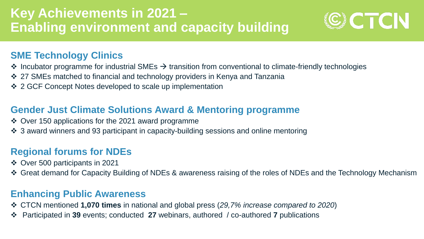## **Key Achievements in 2021 – Enabling environment and capacity building**



#### **SME Technology Clinics**

- $\div$  Incubator programme for industrial SMEs  $\rightarrow$  transition from conventional to climate-friendly technologies
- ❖ 27 SMEs matched to financial and technology providers in Kenya and Tanzania
- ❖ 2 GCF Concept Notes developed to scale up implementation

#### **Gender Just Climate Solutions Award & Mentoring programme**

- ❖ Over 150 applications for the 2021 award programme
- ❖ 3 award winners and 93 participant in capacity-building sessions and online mentoring

### **Regional forums for NDEs**

- ❖ Over 500 participants in 2021
- ❖ Great demand for Capacity Building of NDEs & awareness raising of the roles of NDEs and the Technology Mechanism

### **Enhancing Public Awareness**

- ❖ CTCN mentioned **1,070 times** in national and global press (*29,7% increase compared to 2020*)
- ❖ Participated in **39** events; conducted **27** webinars, authored / co-authored **7** publications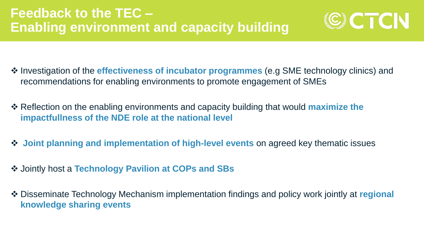

- ❖ Investigation of the **effectiveness of incubator programmes** (e.g SME technology clinics) and recommendations for enabling environments to promote engagement of SMEs
- ❖ Reflection on the enabling environments and capacity building that would **maximize the impactfullness of the NDE role at the national level**
- ❖ **Joint planning and implementation of high-level events** on agreed key thematic issues
- ❖ Jointly host a **Technology Pavilion at COPs and SBs**
- ❖ Disseminate Technology Mechanism implementation findings and policy work jointly at **regional knowledge sharing events**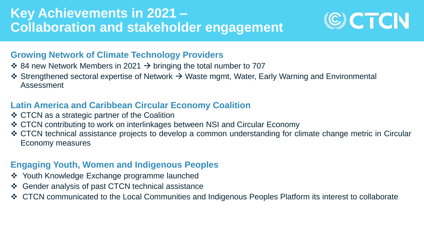## **Key Achievements in 2021 – Collaboration and stakeholder engagement**



#### **Growing Network of Climate Technology Providers**

- $\div$  84 new Network Members in 2021  $\rightarrow$  bringing the total number to 707
- ❖ Strengthened sectoral expertise of Network → Waste mgmt, Water, Early Warning and Environmental Assessment

#### **Latin America and Caribbean Circular Economy Coalition**

- ❖ CTCN as a strategic partner of the Coalition
- ❖ CTCN contributing to work on interlinkages between NSI and Circular Economy
- ❖ CTCN technical assistance projects to develop a common understanding for climate change metric in Circular Economy measures

#### **Engaging Youth, Women and Indigenous Peoples**

- ❖ Youth Knowledge Exchange programme launched
- ❖ Gender analysis of past CTCN technical assistance
- ❖ CTCN communicated to the Local Communities and Indigenous Peoples Platform its interest to collaborate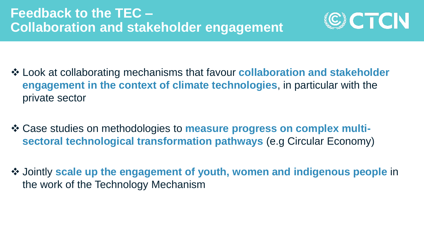

- ❖ Look at collaborating mechanisms that favour **collaboration and stakeholder engagement in the context of climate technologies**, in particular with the private sector
- ❖ Case studies on methodologies to **measure progress on complex multisectoral technological transformation pathways** (e.g Circular Economy)
- ❖ Jointly **scale up the engagement of youth, women and indigenous people** in the work of the Technology Mechanism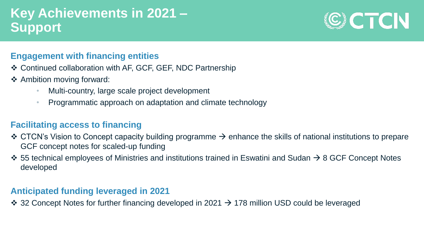## **Key Achievements in 2021 – Support**

# CICTCN

#### **Engagement with financing entities**

- ❖ Continued collaboration with AF, GCF, GEF, NDC Partnership
- ❖ Ambition moving forward:
	- Multi-country, large scale project development
	- Programmatic approach on adaptation and climate technology

#### **Facilitating access to financing**

- ❖ CTCN's Vision to Concept capacity building programme → enhance the skills of national institutions to prepare GCF concept notes for scaled-up funding
- ❖ 55 technical employees of Ministries and institutions trained in Eswatini and Sudan → 8 GCF Concept Notes developed

#### **Anticipated funding leveraged in 2021**

 $\div$  32 Concept Notes for further financing developed in 2021  $\rightarrow$  178 million USD could be leveraged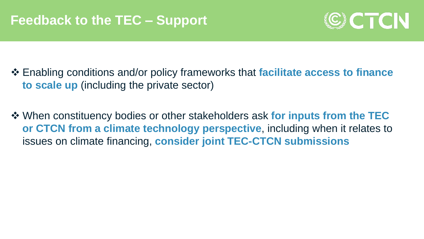

- ❖ Enabling conditions and/or policy frameworks that **facilitate access to finance to scale up** (including the private sector)
- ❖ When constituency bodies or other stakeholders ask **for inputs from the TEC or CTCN from a climate technology perspective**, including when it relates to issues on climate financing, **consider joint TEC-CTCN submissions**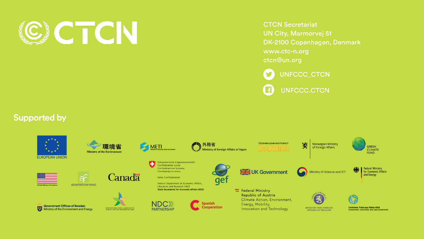

**CTCN Secretariat UN City, Marmorvej 51** DK-2100 Copenhagen, Denmark www.ctc-n.org ctcn@un.org

UNFCCC\_CTCN

**UNFCCC.CTCN** 

#### **Supported by**